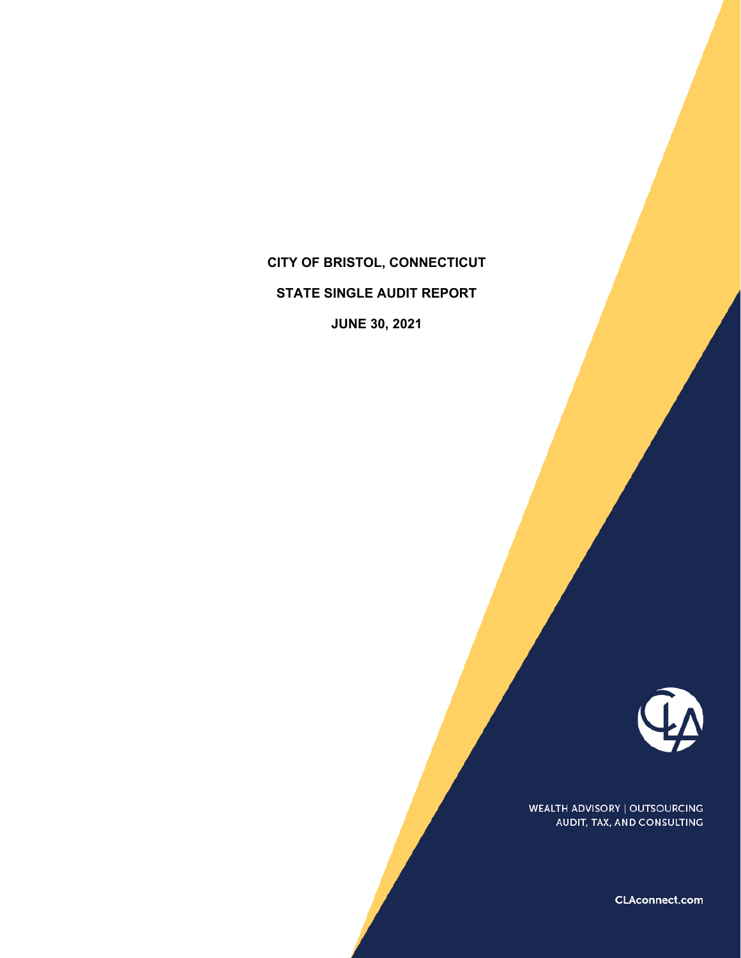# **CITY OF BRISTOL, CONNECTICUT STATE SINGLE AUDIT REPORT**

**JUNE 30, 2021** 



WEALTH ADVISORY | OUTSOURCING AUDIT, TAX, AND CONSULTING

CLAconnect.com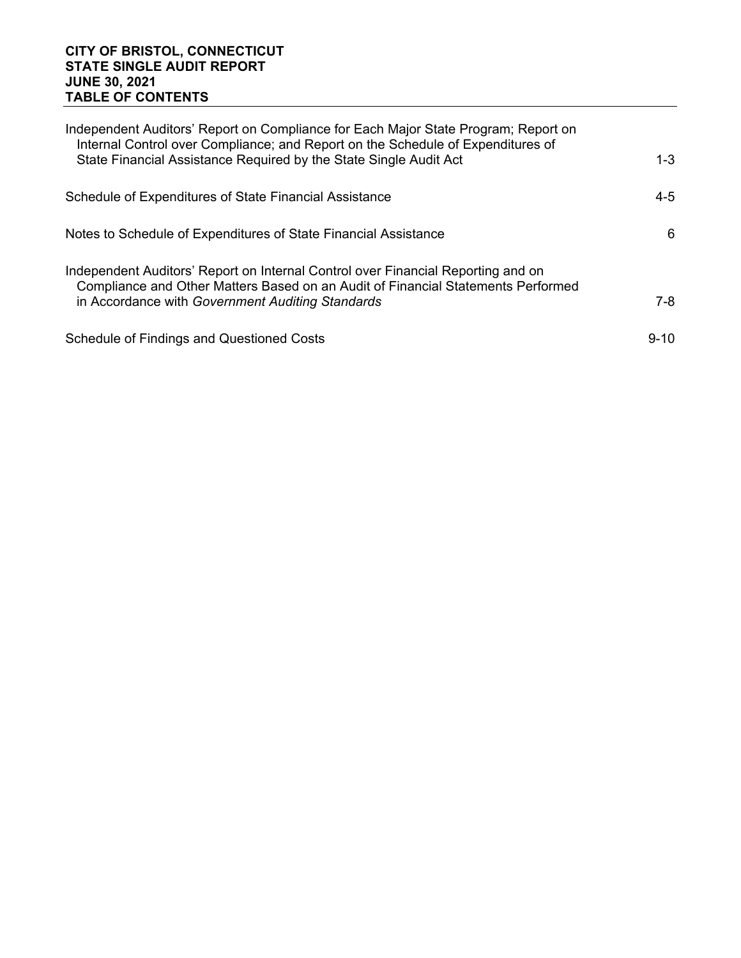#### **CITY OF BRISTOL, CONNECTICUT STATE SINGLE AUDIT REPORT JUNE 30, 2021 TABLE OF CONTENTS**

| Independent Auditors' Report on Compliance for Each Major State Program; Report on<br>Internal Control over Compliance; and Report on the Schedule of Expenditures of<br>State Financial Assistance Required by the State Single Audit Act | $1 - 3$  |
|--------------------------------------------------------------------------------------------------------------------------------------------------------------------------------------------------------------------------------------------|----------|
|                                                                                                                                                                                                                                            |          |
| Schedule of Expenditures of State Financial Assistance                                                                                                                                                                                     | $4 - 5$  |
| Notes to Schedule of Expenditures of State Financial Assistance                                                                                                                                                                            | 6        |
| Independent Auditors' Report on Internal Control over Financial Reporting and on<br>Compliance and Other Matters Based on an Audit of Financial Statements Performed                                                                       | $7-8$    |
| in Accordance with Government Auditing Standards                                                                                                                                                                                           |          |
| <b>Schedule of Findings and Questioned Costs</b>                                                                                                                                                                                           | $9 - 10$ |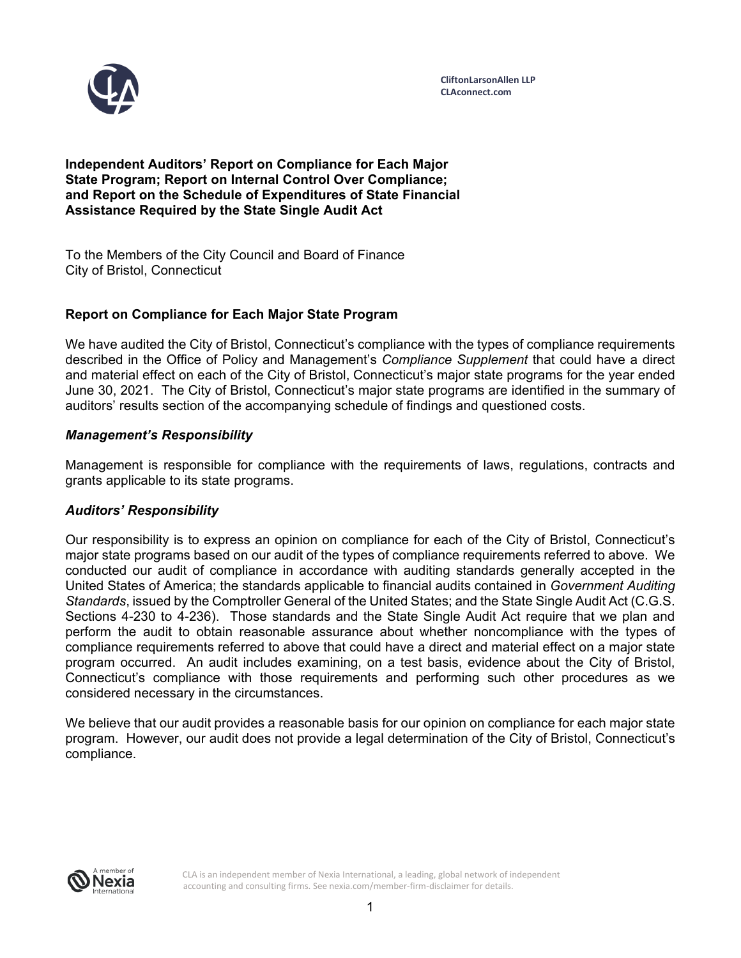

**Independent Auditors' Report on Compliance for Each Major State Program; Report on Internal Control Over Compliance; and Report on the Schedule of Expenditures of State Financial Assistance Required by the State Single Audit Act** 

To the Members of the City Council and Board of Finance City of Bristol, Connecticut

### **Report on Compliance for Each Major State Program**

We have audited the City of Bristol, Connecticut's compliance with the types of compliance requirements described in the Office of Policy and Management's *Compliance Supplement* that could have a direct and material effect on each of the City of Bristol, Connecticut's major state programs for the year ended June 30, 2021. The City of Bristol, Connecticut's major state programs are identified in the summary of auditors' results section of the accompanying schedule of findings and questioned costs.

#### *Management's Responsibility*

Management is responsible for compliance with the requirements of laws, regulations, contracts and grants applicable to its state programs.

#### *Auditors' Responsibility*

Our responsibility is to express an opinion on compliance for each of the City of Bristol, Connecticut's major state programs based on our audit of the types of compliance requirements referred to above. We conducted our audit of compliance in accordance with auditing standards generally accepted in the United States of America; the standards applicable to financial audits contained in *Government Auditing Standards*, issued by the Comptroller General of the United States; and the State Single Audit Act (C.G.S. Sections 4-230 to 4-236). Those standards and the State Single Audit Act require that we plan and perform the audit to obtain reasonable assurance about whether noncompliance with the types of compliance requirements referred to above that could have a direct and material effect on a major state program occurred. An audit includes examining, on a test basis, evidence about the City of Bristol, Connecticut's compliance with those requirements and performing such other procedures as we considered necessary in the circumstances.

We believe that our audit provides a reasonable basis for our opinion on compliance for each major state program. However, our audit does not provide a legal determination of the City of Bristol, Connecticut's compliance.



CLA is an independent member of Nexia International, a leading, global network of independent accounting and consulting firms. See nexia.com/member-firm-disclaimer for details.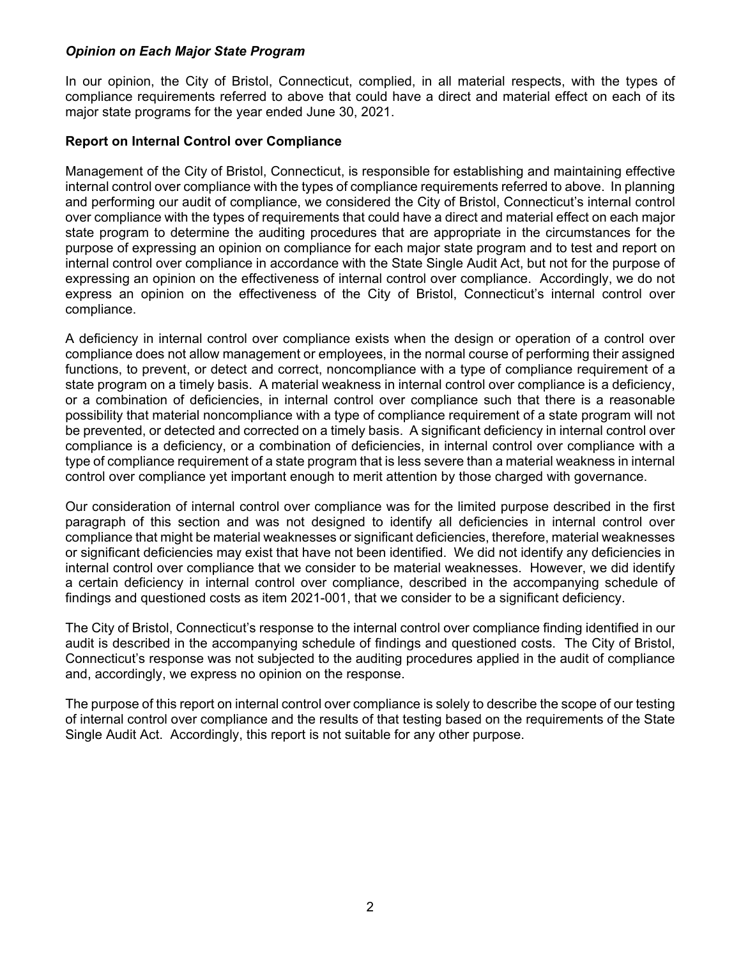#### *Opinion on Each Major State Program*

In our opinion, the City of Bristol, Connecticut, complied, in all material respects, with the types of compliance requirements referred to above that could have a direct and material effect on each of its major state programs for the year ended June 30, 2021.

#### **Report on Internal Control over Compliance**

Management of the City of Bristol, Connecticut, is responsible for establishing and maintaining effective internal control over compliance with the types of compliance requirements referred to above. In planning and performing our audit of compliance, we considered the City of Bristol, Connecticut's internal control over compliance with the types of requirements that could have a direct and material effect on each major state program to determine the auditing procedures that are appropriate in the circumstances for the purpose of expressing an opinion on compliance for each major state program and to test and report on internal control over compliance in accordance with the State Single Audit Act, but not for the purpose of expressing an opinion on the effectiveness of internal control over compliance. Accordingly, we do not express an opinion on the effectiveness of the City of Bristol, Connecticut's internal control over compliance.

A deficiency in internal control over compliance exists when the design or operation of a control over compliance does not allow management or employees, in the normal course of performing their assigned functions, to prevent, or detect and correct, noncompliance with a type of compliance requirement of a state program on a timely basis. A material weakness in internal control over compliance is a deficiency, or a combination of deficiencies, in internal control over compliance such that there is a reasonable possibility that material noncompliance with a type of compliance requirement of a state program will not be prevented, or detected and corrected on a timely basis. A significant deficiency in internal control over compliance is a deficiency, or a combination of deficiencies, in internal control over compliance with a type of compliance requirement of a state program that is less severe than a material weakness in internal control over compliance yet important enough to merit attention by those charged with governance.

Our consideration of internal control over compliance was for the limited purpose described in the first paragraph of this section and was not designed to identify all deficiencies in internal control over compliance that might be material weaknesses or significant deficiencies, therefore, material weaknesses or significant deficiencies may exist that have not been identified. We did not identify any deficiencies in internal control over compliance that we consider to be material weaknesses. However, we did identify a certain deficiency in internal control over compliance, described in the accompanying schedule of findings and questioned costs as item 2021-001, that we consider to be a significant deficiency.

The City of Bristol, Connecticut's response to the internal control over compliance finding identified in our audit is described in the accompanying schedule of findings and questioned costs. The City of Bristol, Connecticut's response was not subjected to the auditing procedures applied in the audit of compliance and, accordingly, we express no opinion on the response.

The purpose of this report on internal control over compliance is solely to describe the scope of our testing of internal control over compliance and the results of that testing based on the requirements of the State Single Audit Act. Accordingly, this report is not suitable for any other purpose.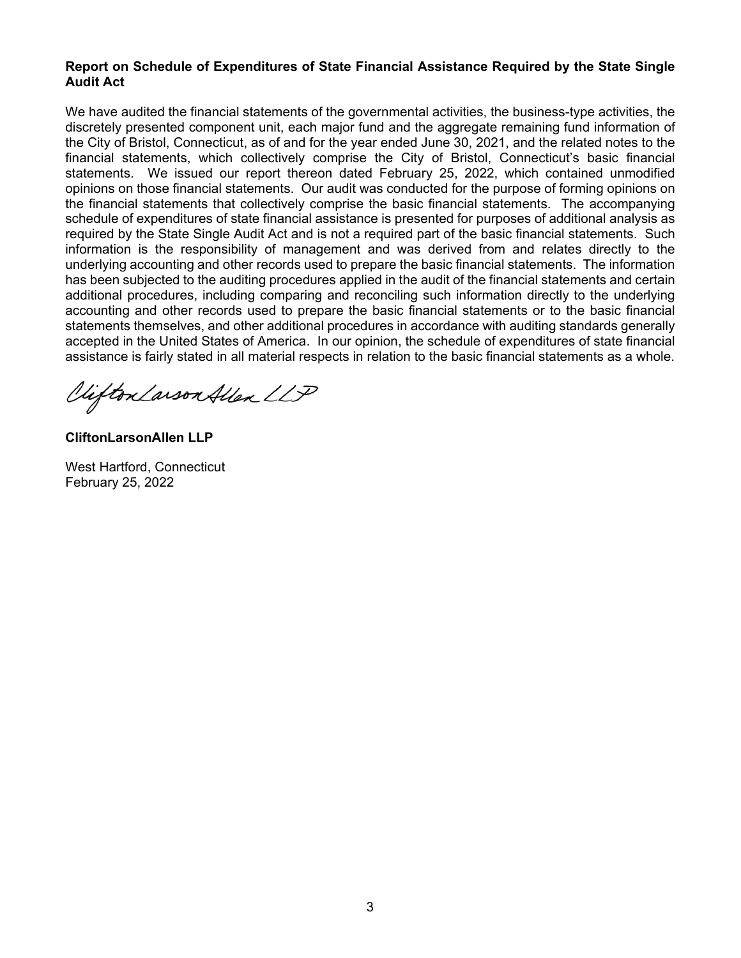#### **Report on Schedule of Expenditures of State Financial Assistance Required by the State Single Audit Act**

We have audited the financial statements of the governmental activities, the business-type activities, the discretely presented component unit, each major fund and the aggregate remaining fund information of the City of Bristol, Connecticut, as of and for the year ended June 30, 2021, and the related notes to the financial statements, which collectively comprise the City of Bristol, Connecticut's basic financial statements. We issued our report thereon dated February 25, 2022, which contained unmodified opinions on those financial statements. Our audit was conducted for the purpose of forming opinions on the financial statements that collectively comprise the basic financial statements. The accompanying schedule of expenditures of state financial assistance is presented for purposes of additional analysis as required by the State Single Audit Act and is not a required part of the basic financial statements. Such information is the responsibility of management and was derived from and relates directly to the underlying accounting and other records used to prepare the basic financial statements. The information has been subjected to the auditing procedures applied in the audit of the financial statements and certain additional procedures, including comparing and reconciling such information directly to the underlying accounting and other records used to prepare the basic financial statements or to the basic financial statements themselves, and other additional procedures in accordance with auditing standards generally accepted in the United States of America. In our opinion, the schedule of expenditures of state financial assistance is fairly stated in all material respects in relation to the basic financial statements as a whole.

Viifton Larson Allen LLP

**CliftonLarsonAllen LLP** 

West Hartford, Connecticut February 25, 2022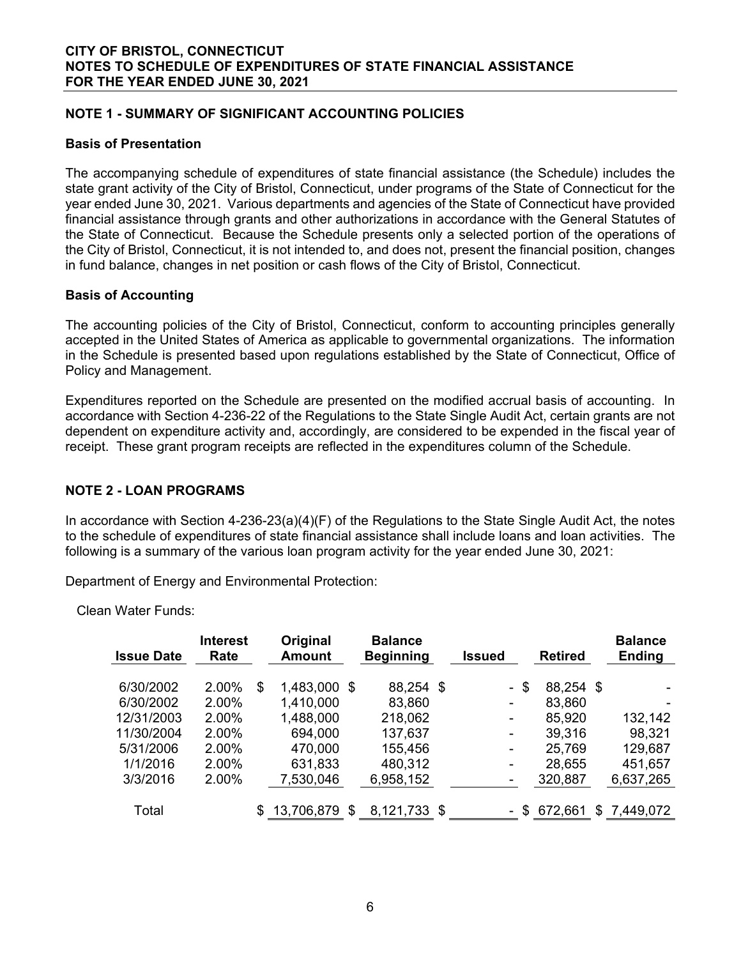## **NOTE 1 - SUMMARY OF SIGNIFICANT ACCOUNTING POLICIES**

### **Basis of Presentation**

The accompanying schedule of expenditures of state financial assistance (the Schedule) includes the state grant activity of the City of Bristol, Connecticut, under programs of the State of Connecticut for the year ended June 30, 2021. Various departments and agencies of the State of Connecticut have provided financial assistance through grants and other authorizations in accordance with the General Statutes of the State of Connecticut. Because the Schedule presents only a selected portion of the operations of the City of Bristol, Connecticut, it is not intended to, and does not, present the financial position, changes in fund balance, changes in net position or cash flows of the City of Bristol, Connecticut.

# **Basis of Accounting**

The accounting policies of the City of Bristol, Connecticut, conform to accounting principles generally accepted in the United States of America as applicable to governmental organizations. The information in the Schedule is presented based upon regulations established by the State of Connecticut, Office of Policy and Management.

Expenditures reported on the Schedule are presented on the modified accrual basis of accounting. In accordance with Section 4-236-22 of the Regulations to the State Single Audit Act, certain grants are not dependent on expenditure activity and, accordingly, are considered to be expended in the fiscal year of receipt. These grant program receipts are reflected in the expenditures column of the Schedule.

### **NOTE 2 - LOAN PROGRAMS**

In accordance with Section 4-236-23(a)(4)(F) of the Regulations to the State Single Audit Act, the notes to the schedule of expenditures of state financial assistance shall include loans and loan activities. The following is a summary of the various loan program activity for the year ended June 30, 2021:

Department of Energy and Environmental Protection:

Clean Water Funds:

| Issue Date | <b>Interest</b><br>Rate |     | Original<br><b>Amount</b> | <b>Balance</b><br><b>Beginning</b> | <b>Issued</b>            | <b>Retired</b> | <b>Balance</b><br><b>Ending</b> |
|------------|-------------------------|-----|---------------------------|------------------------------------|--------------------------|----------------|---------------------------------|
| 6/30/2002  | 2.00%                   | S   | 1,483,000 \$              | 88,254 \$                          | \$<br>$\blacksquare$     | 88,254 \$      |                                 |
| 6/30/2002  | 2.00%                   |     | 1,410,000                 | 83,860                             | $\overline{\phantom{a}}$ | 83,860         |                                 |
| 12/31/2003 | 2.00%                   |     | 1,488,000                 | 218,062                            | $\blacksquare$           | 85,920         | 132,142                         |
| 11/30/2004 | 2.00%                   |     | 694,000                   | 137,637                            | $\overline{\phantom{a}}$ | 39,316         | 98,321                          |
| 5/31/2006  | 2.00%                   |     | 470,000                   | 155,456                            | $\blacksquare$           | 25,769         | 129,687                         |
| 1/1/2016   | 2.00%                   |     | 631,833                   | 480,312                            | ۰                        | 28,655         | 451,657                         |
| 3/3/2016   | 2.00%                   |     | 7,530,046                 | 6,958,152                          | ۰                        | 320,887        | 6,637,265                       |
| Total      |                         | \$. | 13,706,879 \$             | 8,121,733 \$                       | - \$                     | 672,661        | \$7,449,072                     |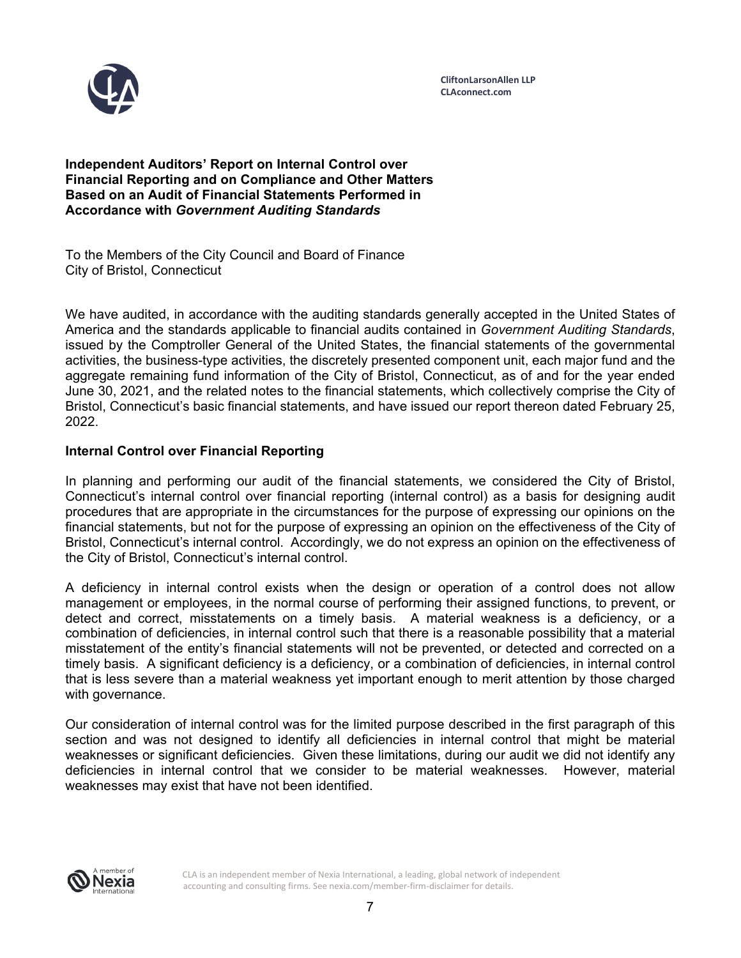

**Independent Auditors' Report on Internal Control over Financial Reporting and on Compliance and Other Matters Based on an Audit of Financial Statements Performed in Accordance with** *Government Auditing Standards* 

To the Members of the City Council and Board of Finance City of Bristol, Connecticut

We have audited, in accordance with the auditing standards generally accepted in the United States of America and the standards applicable to financial audits contained in *Government Auditing Standards*, issued by the Comptroller General of the United States, the financial statements of the governmental activities, the business-type activities, the discretely presented component unit, each major fund and the aggregate remaining fund information of the City of Bristol, Connecticut, as of and for the year ended June 30, 2021, and the related notes to the financial statements, which collectively comprise the City of Bristol, Connecticut's basic financial statements, and have issued our report thereon dated February 25, 2022.

#### **Internal Control over Financial Reporting**

In planning and performing our audit of the financial statements, we considered the City of Bristol, Connecticut's internal control over financial reporting (internal control) as a basis for designing audit procedures that are appropriate in the circumstances for the purpose of expressing our opinions on the financial statements, but not for the purpose of expressing an opinion on the effectiveness of the City of Bristol, Connecticut's internal control. Accordingly, we do not express an opinion on the effectiveness of the City of Bristol, Connecticut's internal control.

A deficiency in internal control exists when the design or operation of a control does not allow management or employees, in the normal course of performing their assigned functions, to prevent, or detect and correct, misstatements on a timely basis. A material weakness is a deficiency, or a combination of deficiencies, in internal control such that there is a reasonable possibility that a material misstatement of the entity's financial statements will not be prevented, or detected and corrected on a timely basis. A significant deficiency is a deficiency, or a combination of deficiencies, in internal control that is less severe than a material weakness yet important enough to merit attention by those charged with governance.

Our consideration of internal control was for the limited purpose described in the first paragraph of this section and was not designed to identify all deficiencies in internal control that might be material weaknesses or significant deficiencies. Given these limitations, during our audit we did not identify any deficiencies in internal control that we consider to be material weaknesses. However, material weaknesses may exist that have not been identified.

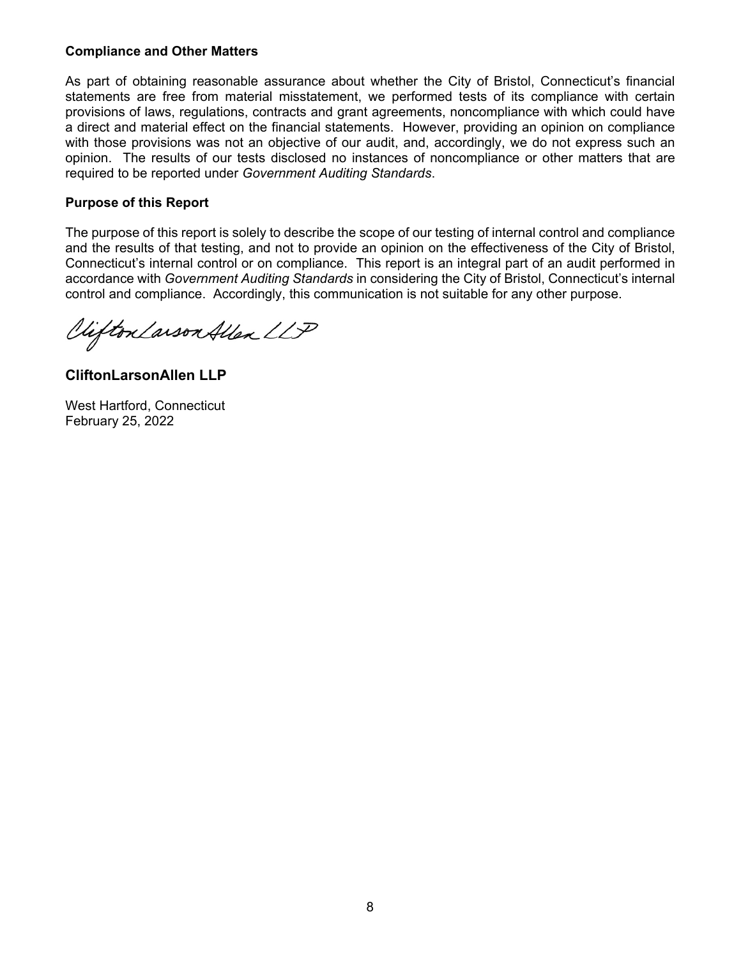#### **Compliance and Other Matters**

As part of obtaining reasonable assurance about whether the City of Bristol, Connecticut's financial statements are free from material misstatement, we performed tests of its compliance with certain provisions of laws, regulations, contracts and grant agreements, noncompliance with which could have a direct and material effect on the financial statements. However, providing an opinion on compliance with those provisions was not an objective of our audit, and, accordingly, we do not express such an opinion. The results of our tests disclosed no instances of noncompliance or other matters that are required to be reported under *Government Auditing Standards*.

#### **Purpose of this Report**

The purpose of this report is solely to describe the scope of our testing of internal control and compliance and the results of that testing, and not to provide an opinion on the effectiveness of the City of Bristol, Connecticut's internal control or on compliance. This report is an integral part of an audit performed in accordance with *Government Auditing Standards* in considering the City of Bristol, Connecticut's internal control and compliance. Accordingly, this communication is not suitable for any other purpose.

Viifton Larson Allen LLP

**CliftonLarsonAllen LLP** 

West Hartford, Connecticut February 25, 2022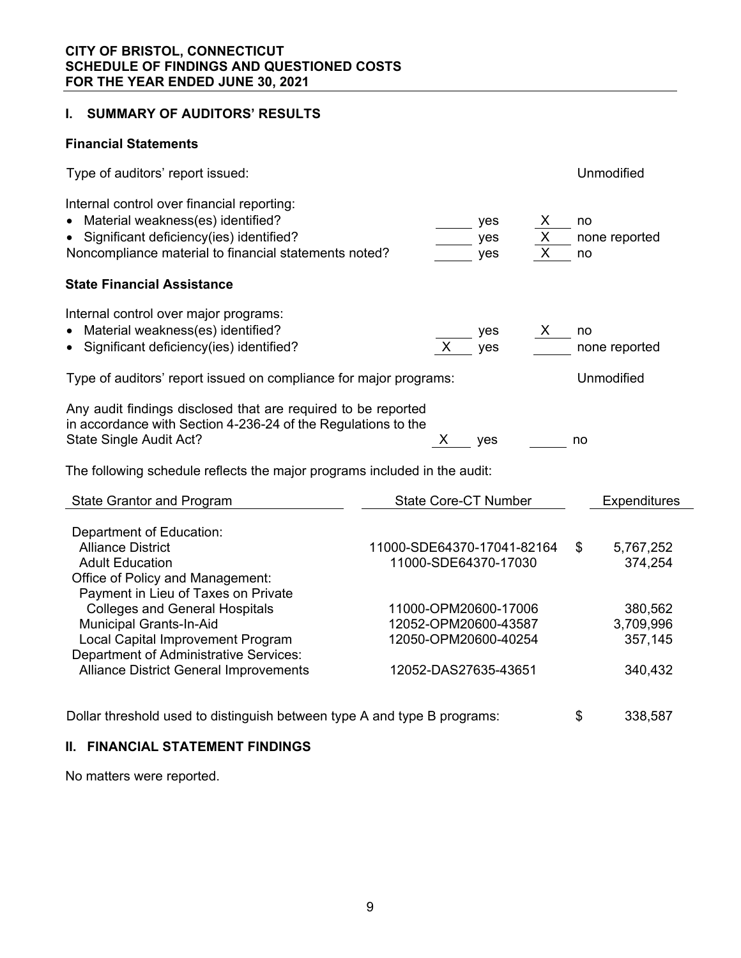## **CITY OF BRISTOL, CONNECTICUT SCHEDULE OF FINDINGS AND QUESTIONED COSTS FOR THE YEAR ENDED JUNE 30, 2021**

# **I. SUMMARY OF AUDITORS' RESULTS**

#### **Financial Statements**

| Type of auditors' report issued:                                                                                                                                                                 |  |                                                                      |                                              |          | Unmodified                      |  |
|--------------------------------------------------------------------------------------------------------------------------------------------------------------------------------------------------|--|----------------------------------------------------------------------|----------------------------------------------|----------|---------------------------------|--|
| Internal control over financial reporting:<br>Material weakness(es) identified?<br>Significant deficiency(ies) identified?<br>$\bullet$<br>Noncompliance material to financial statements noted? |  | yes<br>yes<br>yes                                                    | X<br>$\mathsf{X}$<br>$\overline{\mathsf{x}}$ | no<br>no | none reported                   |  |
| <b>State Financial Assistance</b>                                                                                                                                                                |  |                                                                      |                                              |          |                                 |  |
| Internal control over major programs:<br>Material weakness(es) identified?<br>Significant deficiency(ies) identified?                                                                            |  | yes<br>$\mathsf{X}$<br>yes                                           | X                                            | no       | none reported                   |  |
| Unmodified<br>Type of auditors' report issued on compliance for major programs:                                                                                                                  |  |                                                                      |                                              |          |                                 |  |
| Any audit findings disclosed that are required to be reported<br>in accordance with Section 4-236-24 of the Regulations to the                                                                   |  |                                                                      |                                              |          |                                 |  |
| State Single Audit Act?                                                                                                                                                                          |  | X.<br>yes                                                            |                                              | no       |                                 |  |
| The following schedule reflects the major programs included in the audit:                                                                                                                        |  |                                                                      |                                              |          |                                 |  |
| <b>State Grantor and Program</b>                                                                                                                                                                 |  | <b>State Core-CT Number</b>                                          |                                              |          | <b>Expenditures</b>             |  |
| Department of Education:<br><b>Alliance District</b><br><b>Adult Education</b><br>Office of Policy and Management:<br>Payment in Lieu of Taxes on Private                                        |  | 11000-SDE64370-17041-82164<br>11000-SDE64370-17030                   |                                              | \$       | 5,767,252<br>374,254            |  |
| <b>Colleges and General Hospitals</b><br><b>Municipal Grants-In-Aid</b><br>Local Capital Improvement Program<br><b>Department of Administrative Services:</b>                                    |  | 11000-OPM20600-17006<br>12052-OPM20600-43587<br>12050-OPM20600-40254 |                                              |          | 380,562<br>3,709,996<br>357,145 |  |
| <b>Alliance District General Improvements</b>                                                                                                                                                    |  | 12052-DAS27635-43651                                                 |                                              |          | 340,432                         |  |

Dollar threshold used to distinguish between type A and type B programs: \$ 338,587

# **II. FINANCIAL STATEMENT FINDINGS**

No matters were reported.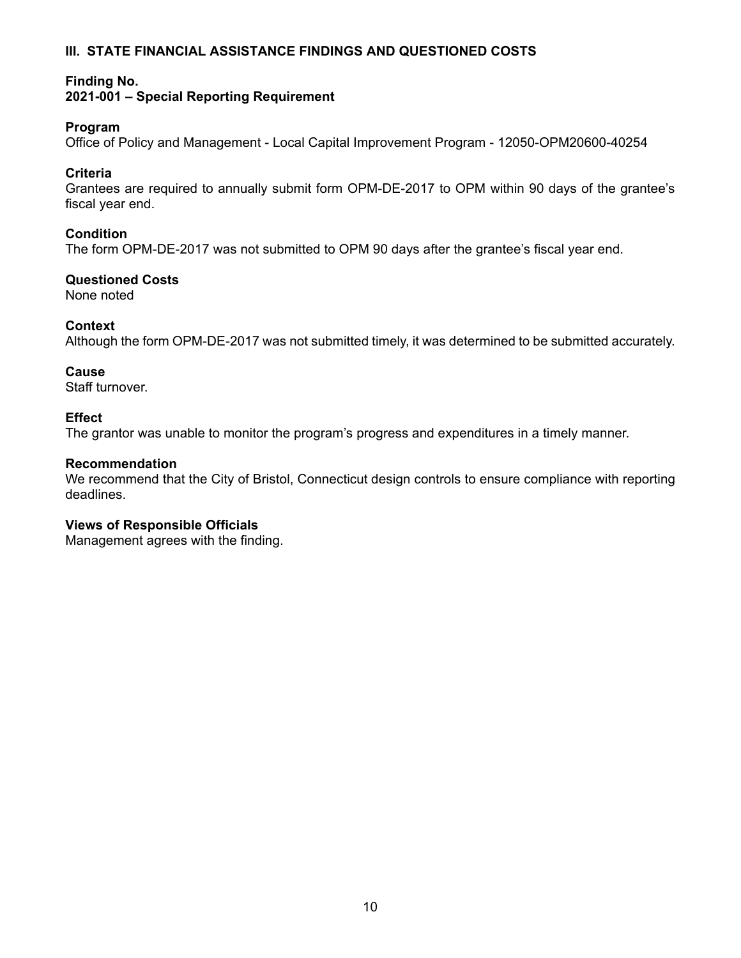# **III. STATE FINANCIAL ASSISTANCE FINDINGS AND QUESTIONED COSTS**

# **Finding No.**

# **2021-001 – Special Reporting Requirement**

# **Program**

Office of Policy and Management - Local Capital Improvement Program - 12050-OPM20600-40254

## **Criteria**

Grantees are required to annually submit form OPM-DE-2017 to OPM within 90 days of the grantee's fiscal year end.

# **Condition**

The form OPM-DE-2017 was not submitted to OPM 90 days after the grantee's fiscal year end.

# **Questioned Costs**

None noted

# **Context**

Although the form OPM-DE-2017 was not submitted timely, it was determined to be submitted accurately.

### **Cause**

Staff turnover.

# **Effect**

The grantor was unable to monitor the program's progress and expenditures in a timely manner.

### **Recommendation**

We recommend that the City of Bristol, Connecticut design controls to ensure compliance with reporting deadlines.

# **Views of Responsible Officials**

Management agrees with the finding.